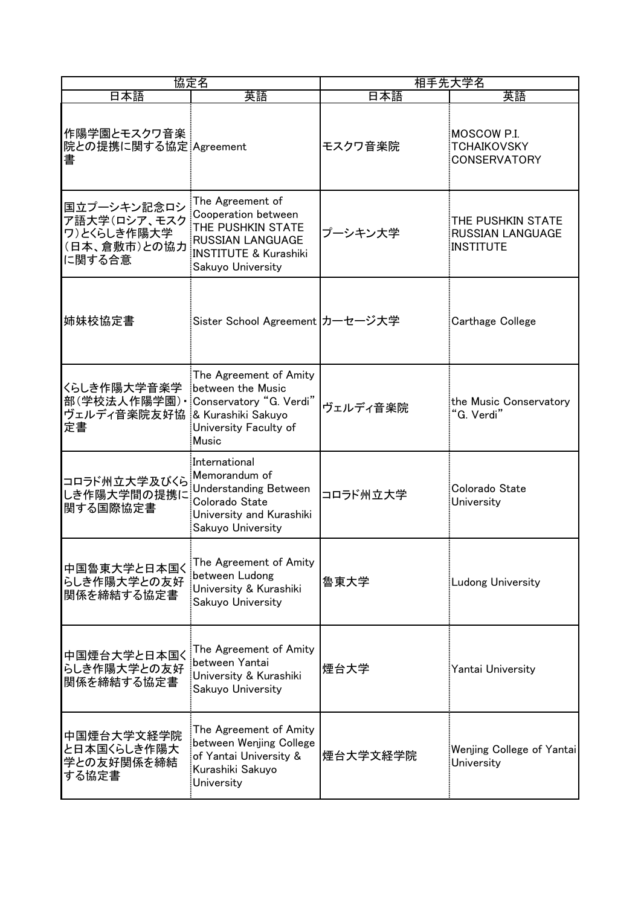| 協定名                                                                                          |                                                                                                                                                  | 相手先大学名   |                                                                  |  |
|----------------------------------------------------------------------------------------------|--------------------------------------------------------------------------------------------------------------------------------------------------|----------|------------------------------------------------------------------|--|
| 日本語                                                                                          | 英語                                                                                                                                               | 日本語      | 英語                                                               |  |
| 作陽学園とモスクワ音楽<br>院との提携に関する協定: Agreement<br>書                                                   |                                                                                                                                                  | モスクワ音楽院  | MOSCOW P.I.<br><b>TCHAIKOVSKY</b><br><b>CONSERVATORY</b>         |  |
| 国立プーシキン記念ロシ<br>ア語大学(ロシア、モスク<br>ワ)とくらしき作陽大学<br>(日本、倉敷市)との協力<br>に関する合意                         | The Agreement of<br>Cooperation between<br>THE PUSHKIN STATE<br><b>RUSSIAN LANGUAGE</b><br><b>INSTITUTE &amp; Kurashiki</b><br>Sakuyo University | プーシキン大学  | THE PUSHKIN STATE<br><b>RUSSIAN LANGUAGE</b><br><b>INSTITUTE</b> |  |
| 姉妹校協定書                                                                                       | Sister School Agreement カーセージ大学                                                                                                                  |          | <b>Carthage College</b>                                          |  |
| くらしき作陽大学音楽学<br>部(学校法人作陽学園) · Conservatory "G. Verdi"<br>ヴェルディ音楽院友好協:& Kurashiki Sakuyo<br>定書 | The Agreement of Amity<br>between the Music<br>University Faculty of<br>Music                                                                    | ヴェルディ音楽院 | the Music Conservatory<br>"G. Verdi"                             |  |
| コロラド州立大学及びくら<br>しき作陽大学間の提携に<br>関する国際協定書                                                      | International<br>Memorandum of<br><b>Understanding Between</b><br>Colorado State<br>University and Kurashiki<br>Sakuyo University                | コロラド州立大学 | Colorado State<br>University                                     |  |
| 中国魯東大学と日本国く<br>らしき作陽大学との友好<br>関係を締結する協定書                                                     | The Agreement of Amity<br>between Ludong<br>University & Kurashiki<br>Sakuyo University                                                          | 魯東大学     | <b>Ludong University</b>                                         |  |
| 中国煙台大学と日本国く<br>らしき作陽大学との友好<br>関係を締結する協定書                                                     | The Agreement of Amity<br>between Yantai<br>University & Kurashiki<br>Sakuyo University                                                          | 煙台大学     | Yantai University                                                |  |
| 中国煙台大学文経学院<br>と日本国くらしき作陽大<br>学との友好関係を締結<br>する協定書                                             | The Agreement of Amity<br>between Wenjing College<br>of Yantai University &<br>Kurashiki Sakuyo<br>University                                    | 煙台大学文経学院 | Wenjing College of Yantai<br>University                          |  |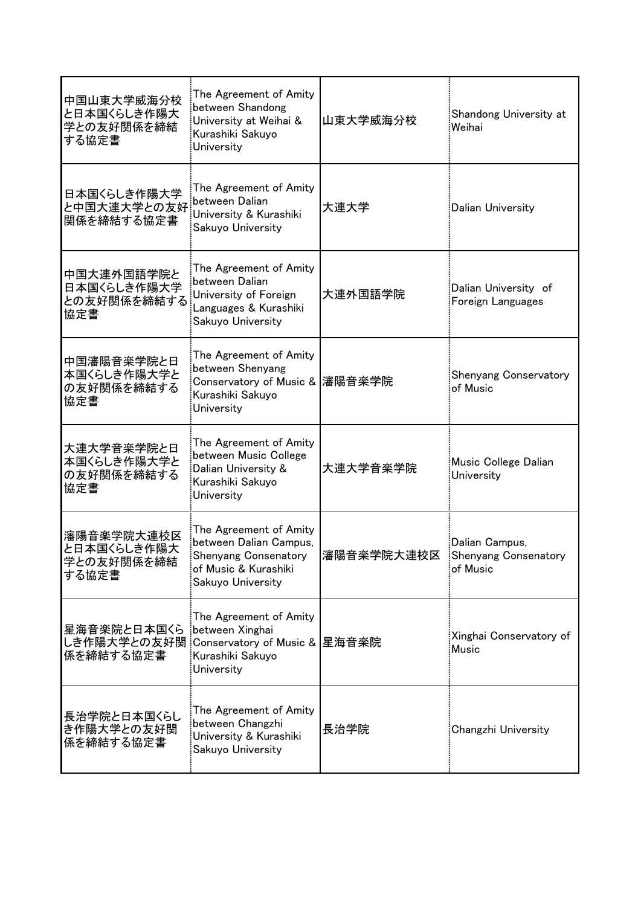| 中国山東大学威海分校<br>と日本国くらしき作陽大<br>学との友好関係を締結<br>する協定書 | The Agreement of Amity<br>between Shandong<br>University at Weihai &<br>Kurashiki Sakuyo<br>University                       | 山東大学威海分校   | Shandong University at<br><b>Weihai</b>            |
|--------------------------------------------------|------------------------------------------------------------------------------------------------------------------------------|------------|----------------------------------------------------|
| 日本国くらしき作陽大学<br>と中国大連大学との友好<br>関係を締結する協定書         | The Agreement of Amity<br>between Dalian<br>University & Kurashiki<br>Sakuyo University                                      | 大連大学       | Dalian University                                  |
| 中国大連外国語学院と<br>日本国くらしき作陽大学<br>との友好関係を締結する<br>協定書  | The Agreement of Amity<br>between Dalian<br>University of Foreign<br>Languages & Kurashiki<br>Sakuyo University              | 大連外国語学院    | Dalian University of<br>Foreign Languages          |
| 中国瀋陽音楽学院と日<br>本国くらしき作陽大学と<br>の友好関係を締結する<br>協定書   | The Agreement of Amity<br>between Shenyang<br>Conservatory of Music &  瀋陽音楽学院<br>Kurashiki Sakuyo<br>University              |            | <b>Shenyang Conservatory</b><br>of Music           |
| 大連大学音楽学院と日<br>本国くらしき作陽大学と<br>の友好関係を締結する<br>協定書   | The Agreement of Amity<br>between Music College<br>Dalian University &<br>Kurashiki Sakuyo<br>University                     | 大連大学音楽学院   | Music College Dalian<br>University                 |
| 瀋陽音楽学院大連校区<br>と日本国くらしき作陽大<br>学との友好関係を締結<br>する協定書 | The Agreement of Amity<br>between Dalian Campus,<br><b>Shenyang Consenatory</b><br>of Music & Kurashiki<br>Sakuyo University | 瀋陽音楽学院大連校区 | Dalian Campus,<br>Shenyang Consenatory<br>of Music |
| 星海音楽院と日本国くら<br>係を締結する協定書                         | The Agreement of Amity<br>between Xinghai<br>しき作陽大学との友好関 Conservatory of Music & 星海音楽院<br>Kurashiki Sakuyo<br>University     |            | Xinghai Conservatory of<br><b>Music</b>            |
| 長治学院と日本国くらし<br>き作陽大学との友好関<br>係を締結する協定書           | The Agreement of Amity<br>between Changzhi<br>University & Kurashiki<br>Sakuyo University                                    | 長治学院       | Changzhi University                                |